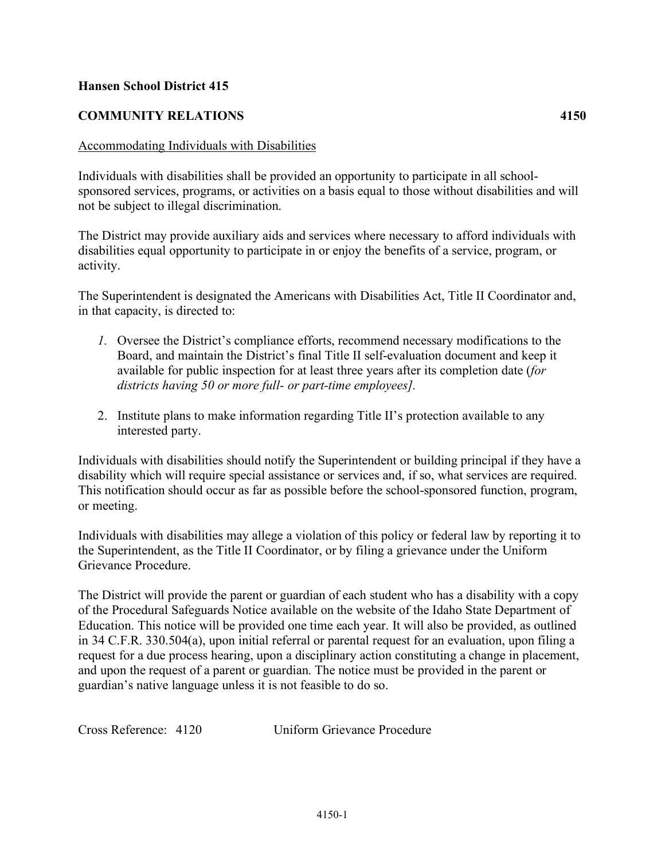## **Hansen School District 415**

## **COMMUNITY RELATIONS 4150**

## Accommodating Individuals with Disabilities

Individuals with disabilities shall be provided an opportunity to participate in all schoolsponsored services, programs, or activities on a basis equal to those without disabilities and will not be subject to illegal discrimination.

The District may provide auxiliary aids and services where necessary to afford individuals with disabilities equal opportunity to participate in or enjoy the benefits of a service, program, or activity.

The Superintendent is designated the Americans with Disabilities Act, Title II Coordinator and, in that capacity, is directed to:

- *1.* Oversee the District's compliance efforts, recommend necessary modifications to the Board, and maintain the District's final Title II self-evaluation document and keep it available for public inspection for at least three years after its completion date (*for districts having 50 or more full- or part-time employees].*
- 2. Institute plans to make information regarding Title II's protection available to any interested party.

Individuals with disabilities should notify the Superintendent or building principal if they have a disability which will require special assistance or services and, if so, what services are required. This notification should occur as far as possible before the school-sponsored function, program, or meeting.

Individuals with disabilities may allege a violation of this policy or federal law by reporting it to the Superintendent, as the Title II Coordinator, or by filing a grievance under the Uniform Grievance Procedure.

The District will provide the parent or guardian of each student who has a disability with a copy of the Procedural Safeguards Notice available on the website of the Idaho State Department of Education. This notice will be provided one time each year. It will also be provided, as outlined in 34 C.F.R. 330.504(a), upon initial referral or parental request for an evaluation, upon filing a request for a due process hearing, upon a disciplinary action constituting a change in placement, and upon the request of a parent or guardian. The notice must be provided in the parent or guardian's native language unless it is not feasible to do so.

Cross Reference: 4120 Uniform Grievance Procedure